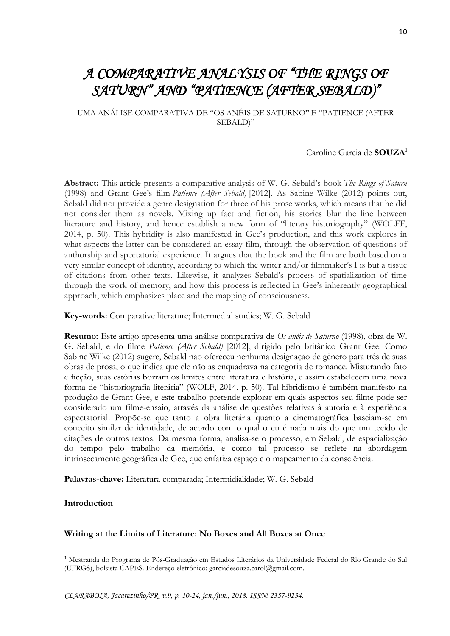# *A COMPARATIVE ANALYSIS OF "THE RINGS OF SATURN" AND "PATIENCE (AFTER SEBALD)"*

UMA ANÁLISE COMPARATIVA DE "OS ANÉIS DE SATURNO" E "PATIENCE (AFTER SEBALD)"

### Caroline Garcia de **SOUZA<sup>1</sup>**

**Abstract:** This article presents a comparative analysis of W. G. Sebald's book *The Rings of Saturn* (1998) and Grant Gee's film *Patience (After Sebald)* [2012]. As Sabine Wilke (2012) points out, Sebald did not provide a genre designation for three of his prose works, which means that he did not consider them as novels. Mixing up fact and fiction, his stories blur the line between literature and history, and hence establish a new form of "literary historiography" (WOLFF, 2014, p. 50). This hybridity is also manifested in Gee's production, and this work explores in what aspects the latter can be considered an essay film, through the observation of questions of authorship and spectatorial experience. It argues that the book and the film are both based on a very similar concept of identity, according to which the writer and/or filmmaker's I is but a tissue of citations from other texts. Likewise, it analyzes Sebald's process of spatialization of time through the work of memory, and how this process is reflected in Gee's inherently geographical approach, which emphasizes place and the mapping of consciousness.

**Key-words:** Comparative literature; Intermedial studies; W. G. Sebald

**Resumo:** Este artigo apresenta uma análise comparativa de *Os anéis de Saturno* (1998), obra de W. G. Sebald, e do filme *Patience (After Sebald)* [2012], dirigido pelo britânico Grant Gee. Como Sabine Wilke (2012) sugere, Sebald não ofereceu nenhuma designação de gênero para três de suas obras de prosa, o que indica que ele não as enquadrava na categoria de romance. Misturando fato e ficção, suas estórias borram os limites entre literatura e história, e assim estabelecem uma nova forma de "historiografia literária" (WOLF, 2014, p. 50). Tal hibridismo é também manifesto na produção de Grant Gee, e este trabalho pretende explorar em quais aspectos seu filme pode ser considerado um filme-ensaio, através da análise de questões relativas à autoria e à experiência espectatorial. Propõe-se que tanto a obra literária quanto a cinematográfica baseiam-se em conceito similar de identidade, de acordo com o qual o eu é nada mais do que um tecido de citações de outros textos. Da mesma forma, analisa-se o processo, em Sebald, de espacialização do tempo pelo trabalho da memória, e como tal processo se reflete na abordagem intrinsecamente geográfica de Gee, que enfatiza espaço e o mapeamento da consciência.

**Palavras-chave:** Literatura comparada; Intermidialidade; W. G. Sebald

**Introduction**

1

#### **Writing at the Limits of Literature: No Boxes and All Boxes at Once**

<sup>1</sup> Mestranda do Programa de Pós-Graduação em Estudos Literários da Universidade Federal do Rio Grande do Sul (UFRGS), bolsista CAPES. Endereço eletrônico: garciadesouza.carol@gmail.com.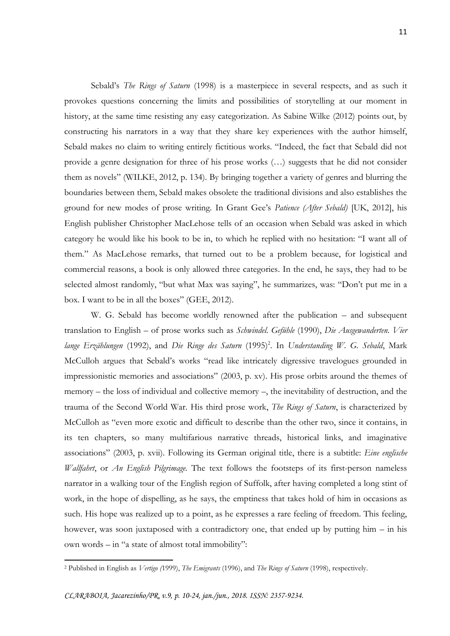Sebald's *The Rings of Saturn* (1998) is a masterpiece in several respects, and as such it provokes questions concerning the limits and possibilities of storytelling at our moment in history, at the same time resisting any easy categorization. As Sabine Wilke (2012) points out, by constructing his narrators in a way that they share key experiences with the author himself, Sebald makes no claim to writing entirely fictitious works. "Indeed, the fact that Sebald did not provide a genre designation for three of his prose works (…) suggests that he did not consider them as novels" (WILKE, 2012, p. 134). By bringing together a variety of genres and blurring the boundaries between them, Sebald makes obsolete the traditional divisions and also establishes the ground for new modes of prose writing. In Grant Gee's *Patience (After Sebald)* [UK, 2012], his English publisher Christopher MacLehose tells of an occasion when Sebald was asked in which category he would like his book to be in, to which he replied with no hesitation: "I want all of them." As MacLehose remarks, that turned out to be a problem because, for logistical and commercial reasons, a book is only allowed three categories. In the end, he says, they had to be selected almost randomly, "but what Max was saying", he summarizes, was: "Don't put me in a box. I want to be in all the boxes" (GEE, 2012).

W. G. Sebald has become worldly renowned after the publication – and subsequent translation to English – of prose works such as *Schwindel. Gefühle* (1990), *Die Ausgewanderten. Vier*  lange Erzählungen (1992), and Die Ringe des Saturn (1995)<sup>2</sup>. In Understanding W. G. Sebald, Mark McCulloh argues that Sebald's works "read like intricately digressive travelogues grounded in impressionistic memories and associations" (2003, p. xv). His prose orbits around the themes of memory – the loss of individual and collective memory –, the inevitability of destruction, and the trauma of the Second World War. His third prose work, *The Rings of Saturn*, is characterized by McCulloh as "even more exotic and difficult to describe than the other two, since it contains, in its ten chapters, so many multifarious narrative threads, historical links, and imaginative associations" (2003, p. xvii). Following its German original title, there is a subtitle: *Eine englische Wallfahrt*, or *An English Pilgrimage.* The text follows the footsteps of its first-person nameless narrator in a walking tour of the English region of Suffolk, after having completed a long stint of work, in the hope of dispelling, as he says, the emptiness that takes hold of him in occasions as such. His hope was realized up to a point, as he expresses a rare feeling of freedom. This feeling, however, was soon juxtaposed with a contradictory one, that ended up by putting him – in his own words – in "a state of almost total immobility":

<sup>2</sup> Published in English as *Vertigo (*1999), *The Emigrants* (1996), and *The Rings of Saturn* (1998), respectively.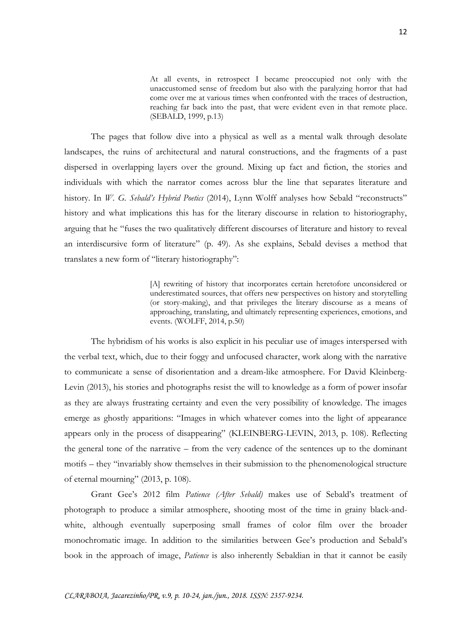At all events, in retrospect I became preoccupied not only with the unaccustomed sense of freedom but also with the paralyzing horror that had come over me at various times when confronted with the traces of destruction, reaching far back into the past, that were evident even in that remote place. (SEBALD, 1999, p.13)

The pages that follow dive into a physical as well as a mental walk through desolate landscapes, the ruins of architectural and natural constructions, and the fragments of a past dispersed in overlapping layers over the ground. Mixing up fact and fiction, the stories and individuals with which the narrator comes across blur the line that separates literature and history. In *W. G. Sebald's Hybrid Poetics* (2014), Lynn Wolff analyses how Sebald "reconstructs" history and what implications this has for the literary discourse in relation to historiography, arguing that he "fuses the two qualitatively different discourses of literature and history to reveal an interdiscursive form of literature" (p. 49). As she explains, Sebald devises a method that translates a new form of "literary historiography":

> [A] rewriting of history that incorporates certain heretofore unconsidered or underestimated sources, that offers new perspectives on history and storytelling (or story-making), and that privileges the literary discourse as a means of approaching, translating, and ultimately representing experiences, emotions, and events. (WOLFF, 2014, p.50)

The hybridism of his works is also explicit in his peculiar use of images interspersed with the verbal text, which, due to their foggy and unfocused character, work along with the narrative to communicate a sense of disorientation and a dream-like atmosphere. For David Kleinberg-Levin (2013), his stories and photographs resist the will to knowledge as a form of power insofar as they are always frustrating certainty and even the very possibility of knowledge. The images emerge as ghostly apparitions: "Images in which whatever comes into the light of appearance appears only in the process of disappearing" (KLEINBERG-LEVIN, 2013, p. 108). Reflecting the general tone of the narrative – from the very cadence of the sentences up to the dominant motifs – they "invariably show themselves in their submission to the phenomenological structure of eternal mourning" (2013, p. 108).

Grant Gee's 2012 film *Patience (After Sebald)* makes use of Sebald's treatment of photograph to produce a similar atmosphere, shooting most of the time in grainy black-andwhite, although eventually superposing small frames of color film over the broader monochromatic image. In addition to the similarities between Gee's production and Sebald's book in the approach of image, *Patience* is also inherently Sebaldian in that it cannot be easily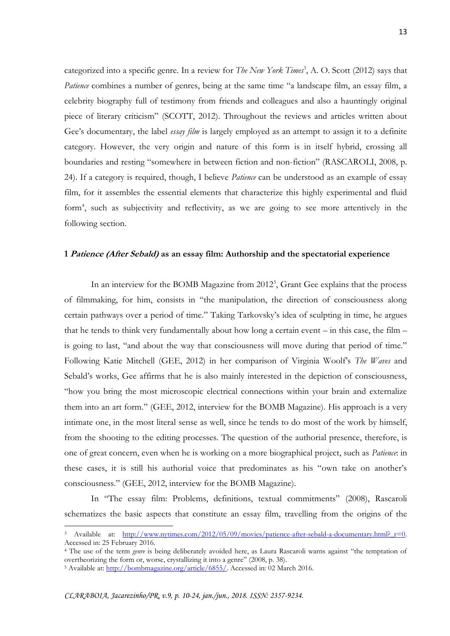categorized into a specific genre. In a review for *The New York Times*<sup>3</sup>, A. O. Scott (2012) says that *Patience* combines a number of genres, being at the same time "a landscape film, an essay film, a celebrity biography full of testimony from friends and colleagues and also a hauntingly original piece of literary criticism" (SCOTT, 2012). Throughout the reviews and articles written about Gee's documentary, the label *essay film* is largely employed as an attempt to assign it to a definite category. However, the very origin and nature of this form is in itself hybrid, crossing all boundaries and resting "somewhere in between fiction and non-fiction" (RASCAROLI, 2008, p. 24). If a category is required, though, I believe *Patience* can be understood as an example of essay film, for it assembles the essential elements that characterize this highly experimental and fluid form<sup>4</sup>, such as subjectivity and reflectivity, as we are going to see more attentively in the following section.

#### **1 Patience (After Sebald) as an essay film: Authorship and the spectatorial experience**

In an interview for the BOMB Magazine from 2012<sup>5</sup>, Grant Gee explains that the process of filmmaking, for him, consists in "the manipulation, the direction of consciousness along certain pathways over a period of time." Taking Tarkovsky's idea of sculpting in time, he argues that he tends to think very fundamentally about how long a certain event  $-$  in this case, the film  $$ is going to last, "and about the way that consciousness will move during that period of time." Following Katie Mitchell (GEE, 2012) in her comparison of Virginia Woolf's *The Waves* and Sebald's works, Gee affirms that he is also mainly interested in the depiction of consciousness, "how you bring the most microscopic electrical connections within your brain and externalize them into an art form." (GEE, 2012, interview for the BOMB Magazine). His approach is a very intimate one, in the most literal sense as well, since he tends to do most of the work by himself, from the shooting to the editing processes. The question of the authorial presence, therefore, is one of great concern, even when he is working on a more biographical project, such as *Patience*: in these cases, it is still his authorial voice that predominates as his "own take on another's consciousness." (GEE, 2012, interview for the BOMB Magazine).

In "The essay film: Problems, definitions, textual commitments" (2008), Rascaroli schematizes the basic aspects that constitute an essay film, travelling from the origins of the

Available at: http://www.nytimes.com/2012/05/09/movies/patience-after-sebald-a-documentary.html? r=0. Accessed in: 25 February 2016.

<sup>&</sup>lt;sup>4</sup> The use of the term *genre* is being deliberately avoided here, as Laura Rascaroli warns against "the temptation of overtheorizing the form or, worse, crystallizing it into a genre" (2008, p. 38).

<sup>&</sup>lt;sup>5</sup> Available at: [http://bombmagazine.org/article/6855/.](http://bombmagazine.org/article/6855/) Accessed in: 02 March 2016.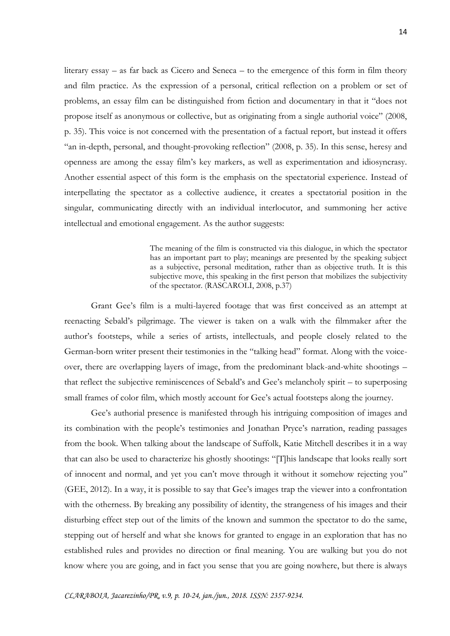literary essay – as far back as Cicero and Seneca – to the emergence of this form in film theory and film practice. As the expression of a personal, critical reflection on a problem or set of problems, an essay film can be distinguished from fiction and documentary in that it "does not propose itself as anonymous or collective, but as originating from a single authorial voice" (2008, p. 35). This voice is not concerned with the presentation of a factual report, but instead it offers "an in-depth, personal, and thought-provoking reflection" (2008, p. 35). In this sense, heresy and openness are among the essay film's key markers, as well as experimentation and idiosyncrasy. Another essential aspect of this form is the emphasis on the spectatorial experience. Instead of interpellating the spectator as a collective audience, it creates a spectatorial position in the singular, communicating directly with an individual interlocutor, and summoning her active intellectual and emotional engagement. As the author suggests:

> The meaning of the film is constructed via this dialogue, in which the spectator has an important part to play; meanings are presented by the speaking subject as a subjective, personal meditation, rather than as objective truth. It is this subjective move, this speaking in the first person that mobilizes the subjectivity of the spectator. (RASCAROLI, 2008, p.37)

Grant Gee's film is a multi-layered footage that was first conceived as an attempt at reenacting Sebald's pilgrimage. The viewer is taken on a walk with the filmmaker after the author's footsteps, while a series of artists, intellectuals, and people closely related to the German-born writer present their testimonies in the "talking head" format. Along with the voiceover, there are overlapping layers of image, from the predominant black-and-white shootings – that reflect the subjective reminiscences of Sebald's and Gee's melancholy spirit – to superposing small frames of color film, which mostly account for Gee's actual footsteps along the journey.

Gee's authorial presence is manifested through his intriguing composition of images and its combination with the people's testimonies and Jonathan Pryce's narration, reading passages from the book. When talking about the landscape of Suffolk, Katie Mitchell describes it in a way that can also be used to characterize his ghostly shootings: "[T]his landscape that looks really sort of innocent and normal, and yet you can't move through it without it somehow rejecting you" (GEE, 2012). In a way, it is possible to say that Gee's images trap the viewer into a confrontation with the otherness. By breaking any possibility of identity, the strangeness of his images and their disturbing effect step out of the limits of the known and summon the spectator to do the same, stepping out of herself and what she knows for granted to engage in an exploration that has no established rules and provides no direction or final meaning. You are walking but you do not know where you are going, and in fact you sense that you are going nowhere, but there is always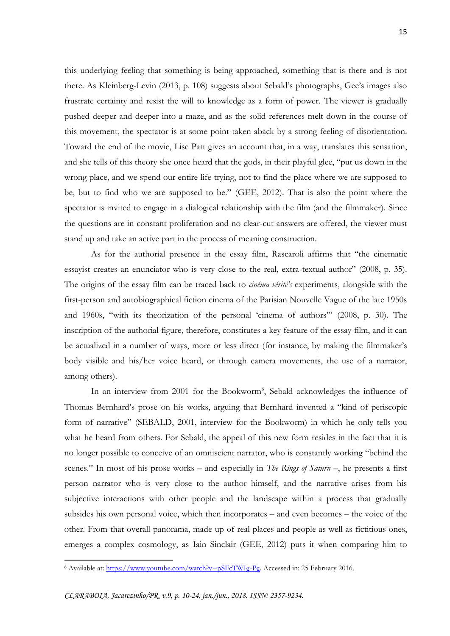this underlying feeling that something is being approached, something that is there and is not there. As Kleinberg-Levin (2013, p. 108) suggests about Sebald's photographs, Gee's images also frustrate certainty and resist the will to knowledge as a form of power. The viewer is gradually pushed deeper and deeper into a maze, and as the solid references melt down in the course of this movement, the spectator is at some point taken aback by a strong feeling of disorientation. Toward the end of the movie, Lise Patt gives an account that, in a way, translates this sensation, and she tells of this theory she once heard that the gods, in their playful glee, "put us down in the wrong place, and we spend our entire life trying, not to find the place where we are supposed to be, but to find who we are supposed to be." (GEE, 2012). That is also the point where the spectator is invited to engage in a dialogical relationship with the film (and the filmmaker). Since the questions are in constant proliferation and no clear-cut answers are offered, the viewer must stand up and take an active part in the process of meaning construction.

As for the authorial presence in the essay film, Rascaroli affirms that "the cinematic essayist creates an enunciator who is very close to the real, extra-textual author" (2008, p. 35). The origins of the essay film can be traced back to *cinéma vérité's* experiments, alongside with the first-person and autobiographical fiction cinema of the Parisian Nouvelle Vague of the late 1950s and 1960s, "with its theorization of the personal 'cinema of authors'" (2008, p. 30). The inscription of the authorial figure, therefore, constitutes a key feature of the essay film, and it can be actualized in a number of ways, more or less direct (for instance, by making the filmmaker's body visible and his/her voice heard, or through camera movements, the use of a narrator, among others).

In an interview from 2001 for the Bookworm<sup>6</sup>, Sebald acknowledges the influence of Thomas Bernhard's prose on his works, arguing that Bernhard invented a "kind of periscopic form of narrative" (SEBALD, 2001, interview for the Bookworm) in which he only tells you what he heard from others. For Sebald, the appeal of this new form resides in the fact that it is no longer possible to conceive of an omniscient narrator, who is constantly working "behind the scenes." In most of his prose works – and especially in *The Rings of Saturn* –, he presents a first person narrator who is very close to the author himself, and the narrative arises from his subjective interactions with other people and the landscape within a process that gradually subsides his own personal voice, which then incorporates – and even becomes – the voice of the other. From that overall panorama, made up of real places and people as well as fictitious ones, emerges a complex cosmology, as Iain Sinclair (GEE, 2012) puts it when comparing him to

<sup>6</sup> Available at: [https://www.youtube.com/watch?v=pSFcTWIg-Pg.](https://www.youtube.com/watch?v=pSFcTWIg-Pg) Accessed in: 25 February 2016.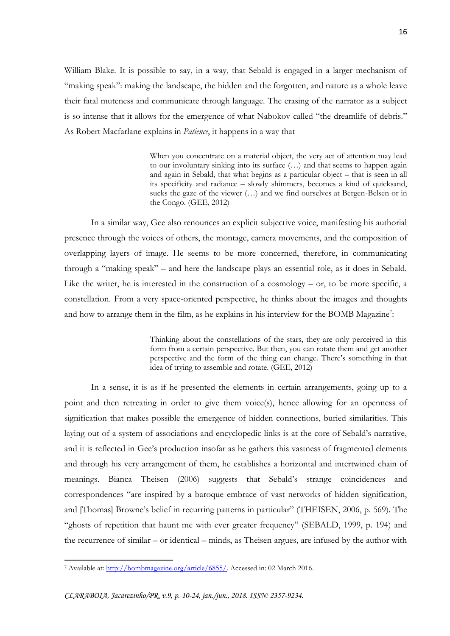William Blake. It is possible to say, in a way, that Sebald is engaged in a larger mechanism of "making speak": making the landscape, the hidden and the forgotten, and nature as a whole leave their fatal muteness and communicate through language. The erasing of the narrator as a subject is so intense that it allows for the emergence of what Nabokov called "the dreamlife of debris." As Robert Macfarlane explains in *Patience*, it happens in a way that

> When you concentrate on a material object, the very act of attention may lead to our involuntary sinking into its surface (…) and that seems to happen again and again in Sebald, that what begins as a particular object – that is seen in all its specificity and radiance – slowly shimmers, becomes a kind of quicksand, sucks the gaze of the viewer (…) and we find ourselves at Bergen-Belsen or in the Congo. (GEE, 2012)

In a similar way, Gee also renounces an explicit subjective voice, manifesting his authorial presence through the voices of others, the montage, camera movements, and the composition of overlapping layers of image. He seems to be more concerned, therefore, in communicating through a "making speak" – and here the landscape plays an essential role, as it does in Sebald. Like the writer, he is interested in the construction of a cosmology – or, to be more specific, a constellation. From a very space-oriented perspective, he thinks about the images and thoughts and how to arrange them in the film, as he explains in his interview for the BOMB Magazine<sup>7</sup>:

> Thinking about the constellations of the stars, they are only perceived in this form from a certain perspective. But then, you can rotate them and get another perspective and the form of the thing can change. There's something in that idea of trying to assemble and rotate. (GEE, 2012)

In a sense, it is as if he presented the elements in certain arrangements, going up to a point and then retreating in order to give them voice(s), hence allowing for an openness of signification that makes possible the emergence of hidden connections, buried similarities. This laying out of a system of associations and encyclopedic links is at the core of Sebald's narrative, and it is reflected in Gee's production insofar as he gathers this vastness of fragmented elements and through his very arrangement of them, he establishes a horizontal and intertwined chain of meanings. Bianca Theisen (2006) suggests that Sebald's strange coincidences and correspondences "are inspired by a baroque embrace of vast networks of hidden signification, and [Thomas] Browne's belief in recurring patterns in particular" (THEISEN, 2006, p. 569). The "ghosts of repetition that haunt me with ever greater frequency" (SEBALD, 1999, p. 194) and the recurrence of similar – or identical – minds, as Theisen argues, are infused by the author with

<sup>7</sup> Available at: [http://bombmagazine.org/article/6855/.](http://bombmagazine.org/article/6855/) Accessed in: 02 March 2016.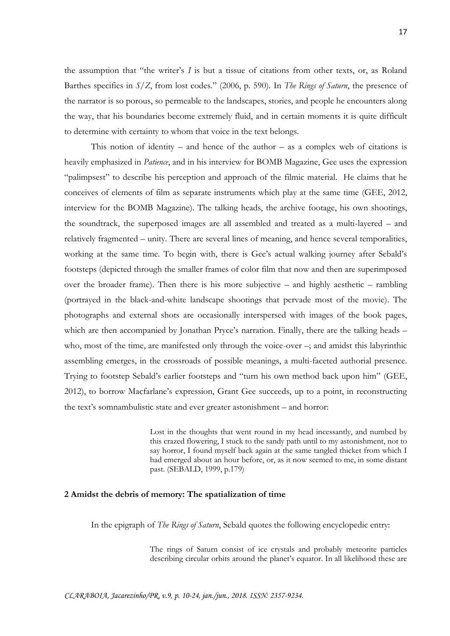the assumption that "the writer's *I* is but a tissue of citations from other texts, or, as Roland Barthes specifies in *S/Z*, from lost codes." (2006, p. 590). In *The Rings of Saturn*, the presence of the narrator is so porous, so permeable to the landscapes, stories, and people he encounters along the way, that his boundaries become extremely fluid, and in certain moments it is quite difficult to determine with certainty to whom that voice in the text belongs.

This notion of identity – and hence of the author – as a complex web of citations is heavily emphasized in *Patience*, and in his interview for BOMB Magazine, Gee uses the expression "palimpsest" to describe his perception and approach of the filmic material. He claims that he conceives of elements of film as separate instruments which play at the same time (GEE, 2012, interview for the BOMB Magazine). The talking heads, the archive footage, his own shootings, the soundtrack, the superposed images are all assembled and treated as a multi-layered – and relatively fragmented – unity. There are several lines of meaning, and hence several temporalities, working at the same time. To begin with, there is Gee's actual walking journey after Sebald's footsteps (depicted through the smaller frames of color film that now and then are superimposed over the broader frame). Then there is his more subjective – and highly aesthetic – rambling (portrayed in the black-and-white landscape shootings that pervade most of the movie). The photographs and external shots are occasionally interspersed with images of the book pages, which are then accompanied by Jonathan Pryce's narration. Finally, there are the talking heads – who, most of the time, are manifested only through the voice-over –; and amidst this labyrinthic assembling emerges, in the crossroads of possible meanings, a multi-faceted authorial presence. Trying to footstep Sebald's earlier footsteps and "turn his own method back upon him" (GEE, 2012), to borrow Macfarlane's expression, Grant Gee succeeds, up to a point, in reconstructing the text's somnambulistic state and ever greater astonishment – and horror:

> Lost in the thoughts that went round in my head incessantly, and numbed by this crazed flowering, I stuck to the sandy path until to my astonishment, not to say horror, I found myself back again at the same tangled thicket from which I had emerged about an hour before, or, as it now seemed to me, in some distant past. (SEBALD, 1999, p.179)

#### **2 Amidst the debris of memory: The spatialization of time**

In the epigraph of *The Rings of Saturn*, Sebald quotes the following encyclopedic entry:

The rings of Saturn consist of ice crystals and probably meteorite particles describing circular orbits around the planet's equator. In all likelihood these are

*CLARABOIA, Jacarezinho/PR, v.9, p. 10-24, jan./jun., 2018. ISSN: 2357-9234.*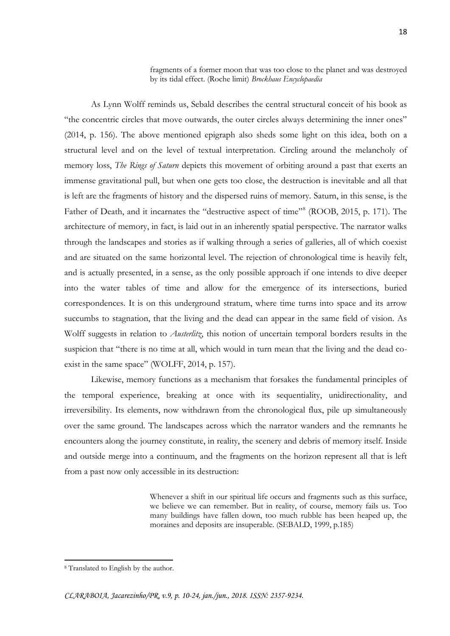fragments of a former moon that was too close to the planet and was destroyed by its tidal effect. (Roche limit) *Brockhaus Encyclopaedia*

As Lynn Wolff reminds us, Sebald describes the central structural conceit of his book as "the concentric circles that move outwards, the outer circles always determining the inner ones" (2014, p. 156). The above mentioned epigraph also sheds some light on this idea, both on a structural level and on the level of textual interpretation. Circling around the melancholy of memory loss, *The Rings of Saturn* depicts this movement of orbiting around a past that exerts an immense gravitational pull, but when one gets too close, the destruction is inevitable and all that is left are the fragments of history and the dispersed ruins of memory. Saturn, in this sense, is the Father of Death, and it incarnates the "destructive aspect of time"<sup>8</sup> (ROOB, 2015, p. 171). The architecture of memory, in fact, is laid out in an inherently spatial perspective. The narrator walks through the landscapes and stories as if walking through a series of galleries, all of which coexist and are situated on the same horizontal level. The rejection of chronological time is heavily felt, and is actually presented, in a sense, as the only possible approach if one intends to dive deeper into the water tables of time and allow for the emergence of its intersections, buried correspondences. It is on this underground stratum, where time turns into space and its arrow succumbs to stagnation, that the living and the dead can appear in the same field of vision. As Wolff suggests in relation to *Austerlitz*, this notion of uncertain temporal borders results in the suspicion that "there is no time at all, which would in turn mean that the living and the dead coexist in the same space" (WOLFF, 2014, p. 157).

Likewise, memory functions as a mechanism that forsakes the fundamental principles of the temporal experience, breaking at once with its sequentiality, unidirectionality, and irreversibility. Its elements, now withdrawn from the chronological flux, pile up simultaneously over the same ground. The landscapes across which the narrator wanders and the remnants he encounters along the journey constitute, in reality, the scenery and debris of memory itself. Inside and outside merge into a continuum, and the fragments on the horizon represent all that is left from a past now only accessible in its destruction:

> Whenever a shift in our spiritual life occurs and fragments such as this surface, we believe we can remember. But in reality, of course, memory fails us. Too many buildings have fallen down, too much rubble has been heaped up, the moraines and deposits are insuperable. (SEBALD, 1999, p.185)

<sup>8</sup> Translated to English by the author.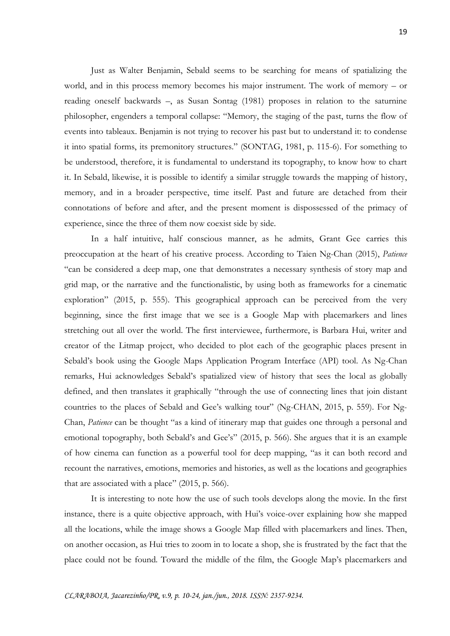Just as Walter Benjamin, Sebald seems to be searching for means of spatializing the world, and in this process memory becomes his major instrument. The work of memory – or reading oneself backwards –, as Susan Sontag (1981) proposes in relation to the saturnine philosopher, engenders a temporal collapse: "Memory, the staging of the past, turns the flow of events into tableaux. Benjamin is not trying to recover his past but to understand it: to condense it into spatial forms, its premonitory structures." (SONTAG, 1981, p. 115-6). For something to be understood, therefore, it is fundamental to understand its topography, to know how to chart it. In Sebald, likewise, it is possible to identify a similar struggle towards the mapping of history, memory, and in a broader perspective, time itself. Past and future are detached from their connotations of before and after, and the present moment is dispossessed of the primacy of experience, since the three of them now coexist side by side.

In a half intuitive, half conscious manner, as he admits, Grant Gee carries this preoccupation at the heart of his creative process. According to Taien Ng-Chan (2015), *Patience* "can be considered a deep map, one that demonstrates a necessary synthesis of story map and grid map, or the narrative and the functionalistic, by using both as frameworks for a cinematic exploration" (2015, p. 555). This geographical approach can be perceived from the very beginning, since the first image that we see is a Google Map with placemarkers and lines stretching out all over the world. The first interviewee, furthermore, is Barbara Hui, writer and creator of the Litmap project, who decided to plot each of the geographic places present in Sebald's book using the Google Maps Application Program Interface (API) tool. As Ng-Chan remarks, Hui acknowledges Sebald's spatialized view of history that sees the local as globally defined, and then translates it graphically "through the use of connecting lines that join distant countries to the places of Sebald and Gee's walking tour" (Ng-CHAN, 2015, p. 559). For Ng-Chan, *Patience* can be thought "as a kind of itinerary map that guides one through a personal and emotional topography, both Sebald's and Gee's" (2015, p. 566). She argues that it is an example of how cinema can function as a powerful tool for deep mapping, "as it can both record and recount the narratives, emotions, memories and histories, as well as the locations and geographies that are associated with a place"  $(2015, p. 566)$ .

It is interesting to note how the use of such tools develops along the movie. In the first instance, there is a quite objective approach, with Hui's voice-over explaining how she mapped all the locations, while the image shows a Google Map filled with placemarkers and lines. Then, on another occasion, as Hui tries to zoom in to locate a shop, she is frustrated by the fact that the place could not be found. Toward the middle of the film, the Google Map's placemarkers and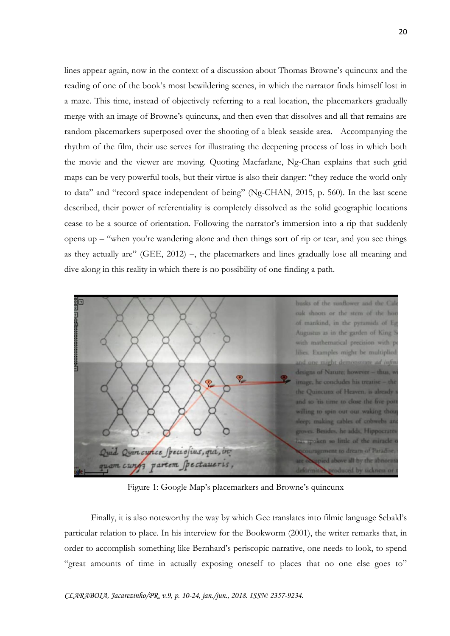lines appear again, now in the context of a discussion about Thomas Browne's quincunx and the reading of one of the book's most bewildering scenes, in which the narrator finds himself lost in a maze. This time, instead of objectively referring to a real location, the placemarkers gradually merge with an image of Browne's quincunx, and then even that dissolves and all that remains are random placemarkers superposed over the shooting of a bleak seaside area. Accompanying the rhythm of the film, their use serves for illustrating the deepening process of loss in which both the movie and the viewer are moving. Quoting Macfarlane, Ng-Chan explains that such grid maps can be very powerful tools, but their virtue is also their danger: "they reduce the world only to data" and "record space independent of being" (Ng-CHAN, 2015, p. 560). In the last scene described, their power of referentiality is completely dissolved as the solid geographic locations cease to be a source of orientation. Following the narrator's immersion into a rip that suddenly opens up – "when you're wandering alone and then things sort of rip or tear, and you see things as they actually are" (GEE, 2012) –, the placemarkers and lines gradually lose all meaning and dive along in this reality in which there is no possibility of one finding a path.



Figure 1: Google Map's placemarkers and Browne's quincunx

Finally, it is also noteworthy the way by which Gee translates into filmic language Sebald's particular relation to place. In his interview for the Bookworm (2001), the writer remarks that, in order to accomplish something like Bernhard's periscopic narrative, one needs to look, to spend "great amounts of time in actually exposing oneself to places that no one else goes to"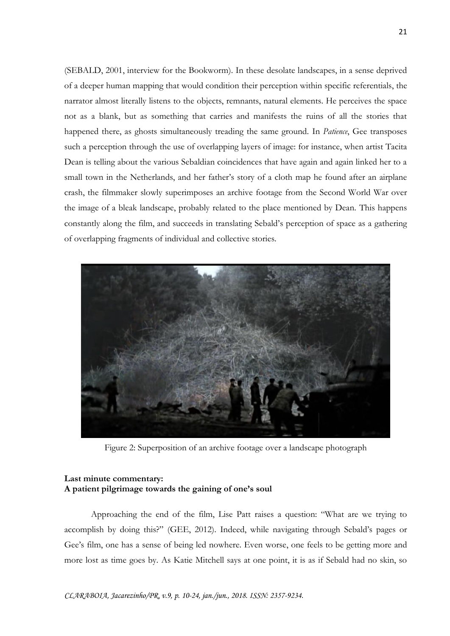(SEBALD, 2001, interview for the Bookworm). In these desolate landscapes, in a sense deprived of a deeper human mapping that would condition their perception within specific referentials, the narrator almost literally listens to the objects, remnants, natural elements. He perceives the space not as a blank, but as something that carries and manifests the ruins of all the stories that happened there, as ghosts simultaneously treading the same ground. In *Patience*, Gee transposes such a perception through the use of overlapping layers of image: for instance, when artist Tacita Dean is telling about the various Sebaldian coincidences that have again and again linked her to a small town in the Netherlands, and her father's story of a cloth map he found after an airplane crash, the filmmaker slowly superimposes an archive footage from the Second World War over the image of a bleak landscape, probably related to the place mentioned by Dean. This happens constantly along the film, and succeeds in translating Sebald's perception of space as a gathering of overlapping fragments of individual and collective stories.



Figure 2: Superposition of an archive footage over a landscape photograph

# **Last minute commentary: A patient pilgrimage towards the gaining of one's soul**

Approaching the end of the film, Lise Patt raises a question: "What are we trying to accomplish by doing this?" (GEE, 2012). Indeed, while navigating through Sebald's pages or Gee's film, one has a sense of being led nowhere. Even worse, one feels to be getting more and more lost as time goes by. As Katie Mitchell says at one point, it is as if Sebald had no skin, so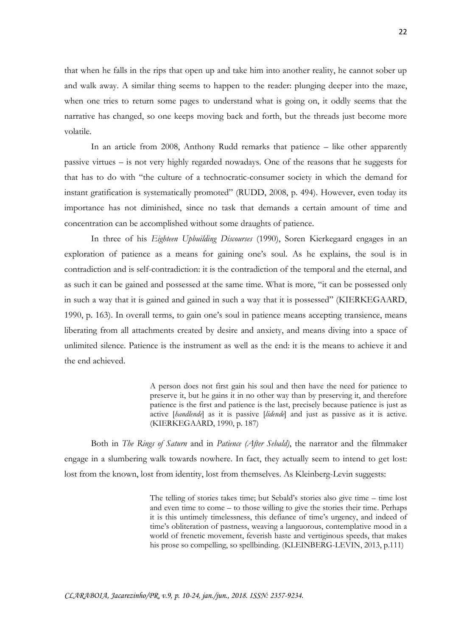that when he falls in the rips that open up and take him into another reality, he cannot sober up and walk away. A similar thing seems to happen to the reader: plunging deeper into the maze, when one tries to return some pages to understand what is going on, it oddly seems that the narrative has changed, so one keeps moving back and forth, but the threads just become more volatile.

In an article from 2008, Anthony Rudd remarks that patience – like other apparently passive virtues – is not very highly regarded nowadays. One of the reasons that he suggests for that has to do with "the culture of a technocratic-consumer society in which the demand for instant gratification is systematically promoted" (RUDD, 2008, p. 494). However, even today its importance has not diminished, since no task that demands a certain amount of time and concentration can be accomplished without some draughts of patience.

In three of his *Eighteen Upbuilding Discourses* (1990), Soren Kierkegaard engages in an exploration of patience as a means for gaining one's soul. As he explains, the soul is in contradiction and is self-contradiction: it is the contradiction of the temporal and the eternal, and as such it can be gained and possessed at the same time. What is more, "it can be possessed only in such a way that it is gained and gained in such a way that it is possessed" (KIERKEGAARD, 1990, p. 163). In overall terms, to gain one's soul in patience means accepting transience, means liberating from all attachments created by desire and anxiety, and means diving into a space of unlimited silence. Patience is the instrument as well as the end: it is the means to achieve it and the end achieved.

> A person does not first gain his soul and then have the need for patience to preserve it, but he gains it in no other way than by preserving it, and therefore patience is the first and patience is the last, precisely because patience is just as active [*handlende*] as it is passive [*lidende*] and just as passive as it is active. (KIERKEGAARD, 1990, p. 187)

Both in *The Rings of Saturn* and in *Patience (After Sebald)*, the narrator and the filmmaker engage in a slumbering walk towards nowhere. In fact, they actually seem to intend to get lost: lost from the known, lost from identity, lost from themselves. As Kleinberg-Levin suggests:

> The telling of stories takes time; but Sebald's stories also give time – time lost and even time to come – to those willing to give the stories their time. Perhaps it is this untimely timelessness, this defiance of time's urgency, and indeed of time's obliteration of pastness, weaving a languorous, contemplative mood in a world of frenetic movement, feverish haste and vertiginous speeds, that makes his prose so compelling, so spellbinding. (KLEINBERG-LEVIN, 2013, p.111)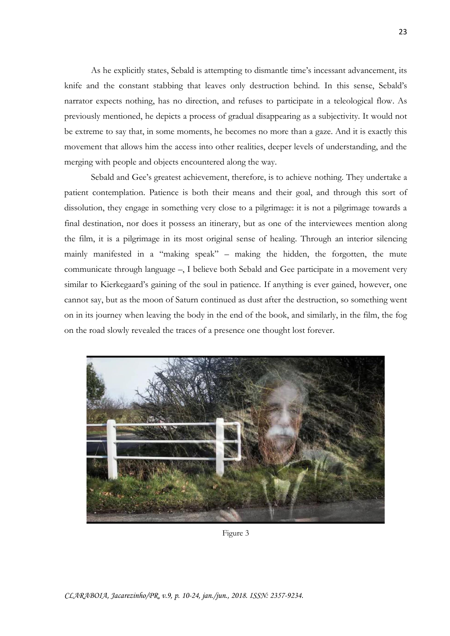As he explicitly states, Sebald is attempting to dismantle time's incessant advancement, its knife and the constant stabbing that leaves only destruction behind. In this sense, Sebald's narrator expects nothing, has no direction, and refuses to participate in a teleological flow. As previously mentioned, he depicts a process of gradual disappearing as a subjectivity. It would not be extreme to say that, in some moments, he becomes no more than a gaze. And it is exactly this movement that allows him the access into other realities, deeper levels of understanding, and the merging with people and objects encountered along the way.

Sebald and Gee's greatest achievement, therefore, is to achieve nothing. They undertake a patient contemplation. Patience is both their means and their goal, and through this sort of dissolution, they engage in something very close to a pilgrimage: it is not a pilgrimage towards a final destination, nor does it possess an itinerary, but as one of the interviewees mention along the film, it is a pilgrimage in its most original sense of healing. Through an interior silencing mainly manifested in a "making speak" – making the hidden, the forgotten, the mute communicate through language –, I believe both Sebald and Gee participate in a movement very similar to Kierkegaard's gaining of the soul in patience. If anything is ever gained, however, one cannot say, but as the moon of Saturn continued as dust after the destruction, so something went on in its journey when leaving the body in the end of the book, and similarly, in the film, the fog on the road slowly revealed the traces of a presence one thought lost forever.



Figure 3